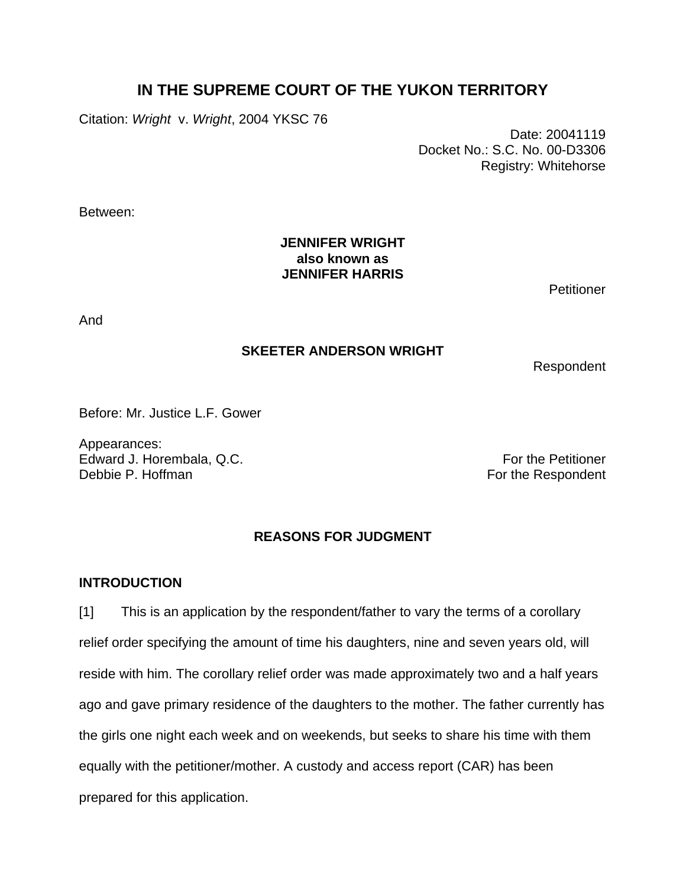# **IN THE SUPREME COURT OF THE YUKON TERRITORY**

Citation: *Wright* v. *Wright*, 2004 YKSC 76

 Date: 20041119 Docket No.: S.C. No. 00-D3306 Registry: Whitehorse

Between:

## **JENNIFER WRIGHT also known as JENNIFER HARRIS**

**Petitioner** 

And

### **SKEETER ANDERSON WRIGHT**

Respondent

Before: Mr. Justice L.F. Gower

Appearances: Edward J. Horembala, Q.C. **For the Petitioner** For the Petitioner Debbie P. Hoffman For the Respondent

## **REASONS FOR JUDGMENT**

#### **INTRODUCTION**

[1] This is an application by the respondent/father to vary the terms of a corollary relief order specifying the amount of time his daughters, nine and seven years old, will reside with him. The corollary relief order was made approximately two and a half years ago and gave primary residence of the daughters to the mother. The father currently has the girls one night each week and on weekends, but seeks to share his time with them equally with the petitioner/mother. A custody and access report (CAR) has been prepared for this application.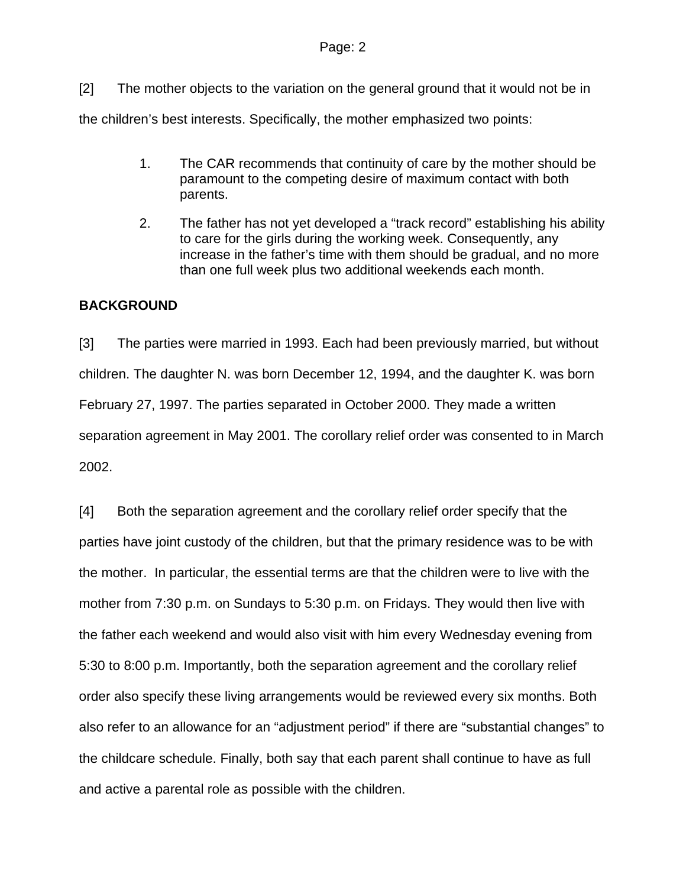[2] The mother objects to the variation on the general ground that it would not be in the children's best interests. Specifically, the mother emphasized two points:

- 1. The CAR recommends that continuity of care by the mother should be paramount to the competing desire of maximum contact with both parents.
- 2. The father has not yet developed a "track record" establishing his ability to care for the girls during the working week. Consequently, any increase in the father's time with them should be gradual, and no more than one full week plus two additional weekends each month.

## **BACKGROUND**

[3] The parties were married in 1993. Each had been previously married, but without children. The daughter N. was born December 12, 1994, and the daughter K. was born February 27, 1997. The parties separated in October 2000. They made a written separation agreement in May 2001. The corollary relief order was consented to in March 2002.

[4] Both the separation agreement and the corollary relief order specify that the parties have joint custody of the children, but that the primary residence was to be with the mother. In particular, the essential terms are that the children were to live with the mother from 7:30 p.m. on Sundays to 5:30 p.m. on Fridays. They would then live with the father each weekend and would also visit with him every Wednesday evening from 5:30 to 8:00 p.m. Importantly, both the separation agreement and the corollary relief order also specify these living arrangements would be reviewed every six months. Both also refer to an allowance for an "adjustment period" if there are "substantial changes" to the childcare schedule. Finally, both say that each parent shall continue to have as full and active a parental role as possible with the children.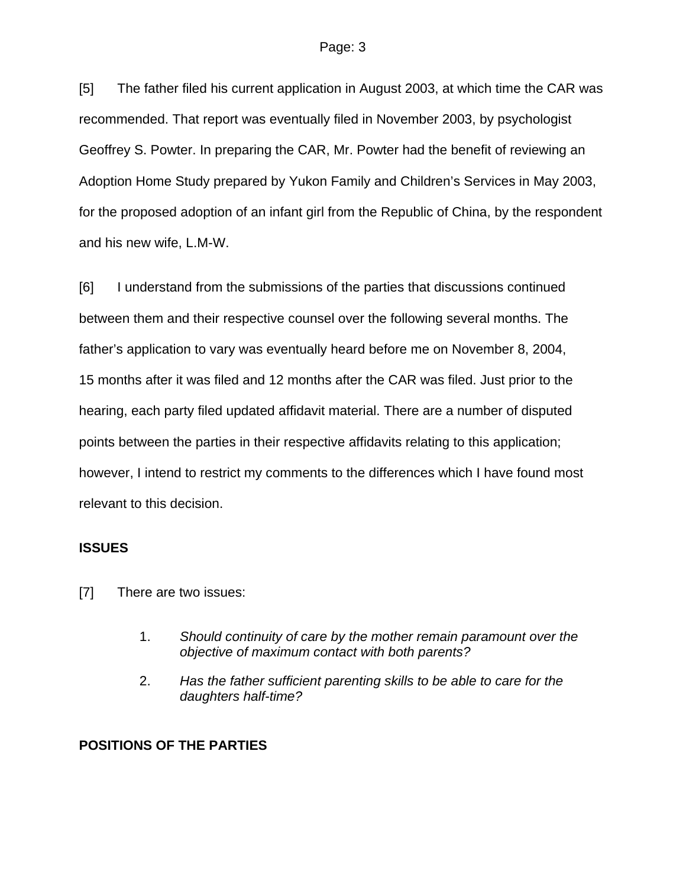[5] The father filed his current application in August 2003, at which time the CAR was recommended. That report was eventually filed in November 2003, by psychologist Geoffrey S. Powter. In preparing the CAR, Mr. Powter had the benefit of reviewing an Adoption Home Study prepared by Yukon Family and Children's Services in May 2003, for the proposed adoption of an infant girl from the Republic of China, by the respondent and his new wife, L.M-W.

[6] I understand from the submissions of the parties that discussions continued between them and their respective counsel over the following several months. The father's application to vary was eventually heard before me on November 8, 2004, 15 months after it was filed and 12 months after the CAR was filed. Just prior to the hearing, each party filed updated affidavit material. There are a number of disputed points between the parties in their respective affidavits relating to this application; however, I intend to restrict my comments to the differences which I have found most relevant to this decision.

#### **ISSUES**

- [7] There are two issues:
	- 1. *Should continuity of care by the mother remain paramount over the objective of maximum contact with both parents?*
	- 2. *Has the father sufficient parenting skills to be able to care for the daughters half-time?*

## **POSITIONS OF THE PARTIES**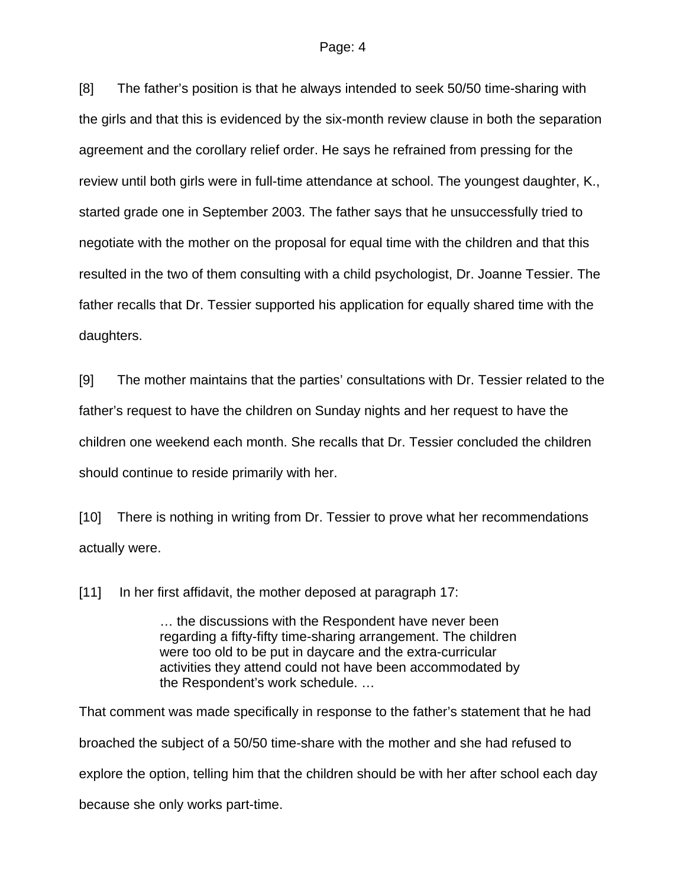[8] The father's position is that he always intended to seek 50/50 time-sharing with the girls and that this is evidenced by the six-month review clause in both the separation agreement and the corollary relief order. He says he refrained from pressing for the review until both girls were in full-time attendance at school. The youngest daughter, K., started grade one in September 2003. The father says that he unsuccessfully tried to negotiate with the mother on the proposal for equal time with the children and that this resulted in the two of them consulting with a child psychologist, Dr. Joanne Tessier. The father recalls that Dr. Tessier supported his application for equally shared time with the daughters.

[9] The mother maintains that the parties' consultations with Dr. Tessier related to the father's request to have the children on Sunday nights and her request to have the children one weekend each month. She recalls that Dr. Tessier concluded the children should continue to reside primarily with her.

[10] There is nothing in writing from Dr. Tessier to prove what her recommendations actually were.

[11] In her first affidavit, the mother deposed at paragraph 17:

… the discussions with the Respondent have never been regarding a fifty-fifty time-sharing arrangement. The children were too old to be put in daycare and the extra-curricular activities they attend could not have been accommodated by the Respondent's work schedule. …

That comment was made specifically in response to the father's statement that he had broached the subject of a 50/50 time-share with the mother and she had refused to explore the option, telling him that the children should be with her after school each day because she only works part-time.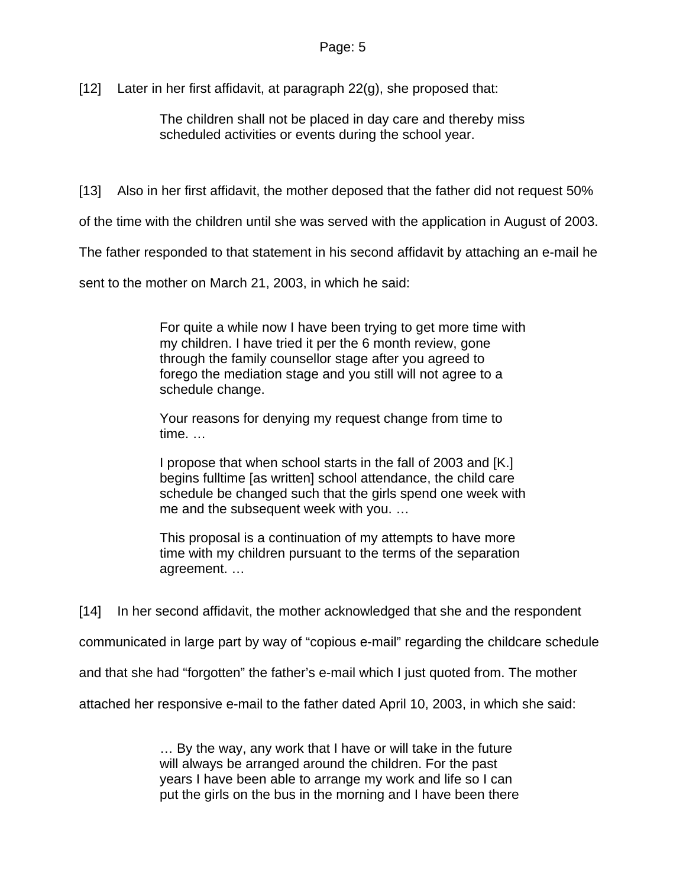[12] Later in her first affidavit, at paragraph  $22(g)$ , she proposed that:

The children shall not be placed in day care and thereby miss scheduled activities or events during the school year.

[13] Also in her first affidavit, the mother deposed that the father did not request 50%

of the time with the children until she was served with the application in August of 2003.

The father responded to that statement in his second affidavit by attaching an e-mail he

sent to the mother on March 21, 2003, in which he said:

For quite a while now I have been trying to get more time with my children. I have tried it per the 6 month review, gone through the family counsellor stage after you agreed to forego the mediation stage and you still will not agree to a schedule change.

Your reasons for denying my request change from time to time. …

I propose that when school starts in the fall of 2003 and [K.] begins fulltime [as written] school attendance, the child care schedule be changed such that the girls spend one week with me and the subsequent week with you. …

This proposal is a continuation of my attempts to have more time with my children pursuant to the terms of the separation agreement. …

[14] In her second affidavit, the mother acknowledged that she and the respondent

communicated in large part by way of "copious e-mail" regarding the childcare schedule

and that she had "forgotten" the father's e-mail which I just quoted from. The mother

attached her responsive e-mail to the father dated April 10, 2003, in which she said:

… By the way, any work that I have or will take in the future will always be arranged around the children. For the past years I have been able to arrange my work and life so I can put the girls on the bus in the morning and I have been there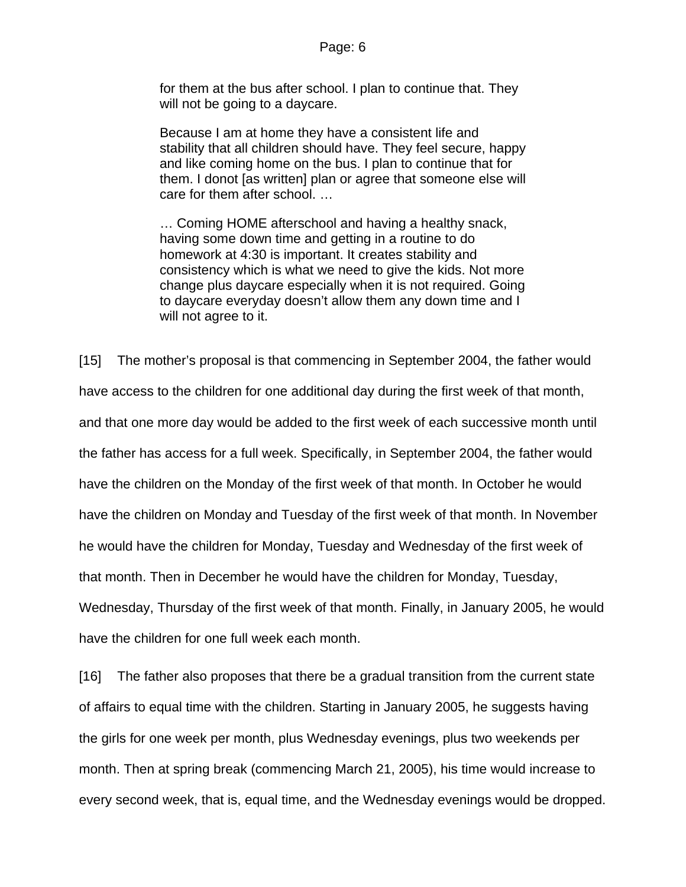for them at the bus after school. I plan to continue that. They will not be going to a daycare.

Because I am at home they have a consistent life and stability that all children should have. They feel secure, happy and like coming home on the bus. I plan to continue that for them. I donot [as written] plan or agree that someone else will care for them after school. …

… Coming HOME afterschool and having a healthy snack, having some down time and getting in a routine to do homework at 4:30 is important. It creates stability and consistency which is what we need to give the kids. Not more change plus daycare especially when it is not required. Going to daycare everyday doesn't allow them any down time and I will not agree to it.

[15] The mother's proposal is that commencing in September 2004, the father would have access to the children for one additional day during the first week of that month, and that one more day would be added to the first week of each successive month until the father has access for a full week. Specifically, in September 2004, the father would have the children on the Monday of the first week of that month. In October he would have the children on Monday and Tuesday of the first week of that month. In November he would have the children for Monday, Tuesday and Wednesday of the first week of that month. Then in December he would have the children for Monday, Tuesday, Wednesday, Thursday of the first week of that month. Finally, in January 2005, he would have the children for one full week each month.

[16] The father also proposes that there be a gradual transition from the current state of affairs to equal time with the children. Starting in January 2005, he suggests having the girls for one week per month, plus Wednesday evenings, plus two weekends per month. Then at spring break (commencing March 21, 2005), his time would increase to every second week, that is, equal time, and the Wednesday evenings would be dropped.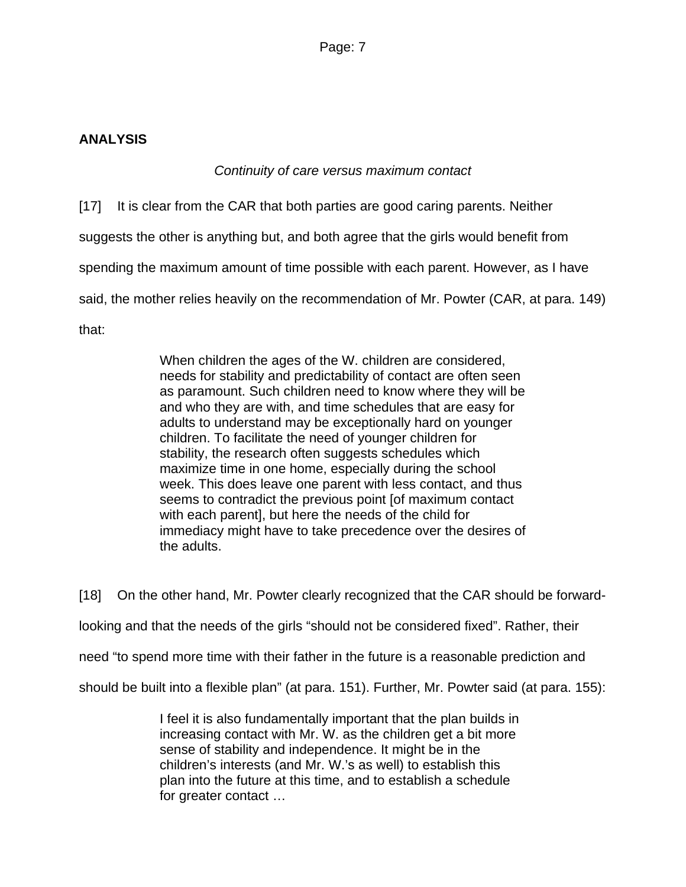### **ANALYSIS**

## *Continuity of care versus maximum contact*

[17] It is clear from the CAR that both parties are good caring parents. Neither

suggests the other is anything but, and both agree that the girls would benefit from

spending the maximum amount of time possible with each parent. However, as I have

said, the mother relies heavily on the recommendation of Mr. Powter (CAR, at para. 149)

that:

When children the ages of the W. children are considered, needs for stability and predictability of contact are often seen as paramount. Such children need to know where they will be and who they are with, and time schedules that are easy for adults to understand may be exceptionally hard on younger children. To facilitate the need of younger children for stability, the research often suggests schedules which maximize time in one home, especially during the school week. This does leave one parent with less contact, and thus seems to contradict the previous point [of maximum contact with each parent], but here the needs of the child for immediacy might have to take precedence over the desires of the adults.

[18] On the other hand, Mr. Powter clearly recognized that the CAR should be forwardlooking and that the needs of the girls "should not be considered fixed". Rather, their need "to spend more time with their father in the future is a reasonable prediction and should be built into a flexible plan" (at para. 151). Further, Mr. Powter said (at para. 155):

> I feel it is also fundamentally important that the plan builds in increasing contact with Mr. W. as the children get a bit more sense of stability and independence. It might be in the children's interests (and Mr. W.'s as well) to establish this plan into the future at this time, and to establish a schedule for greater contact …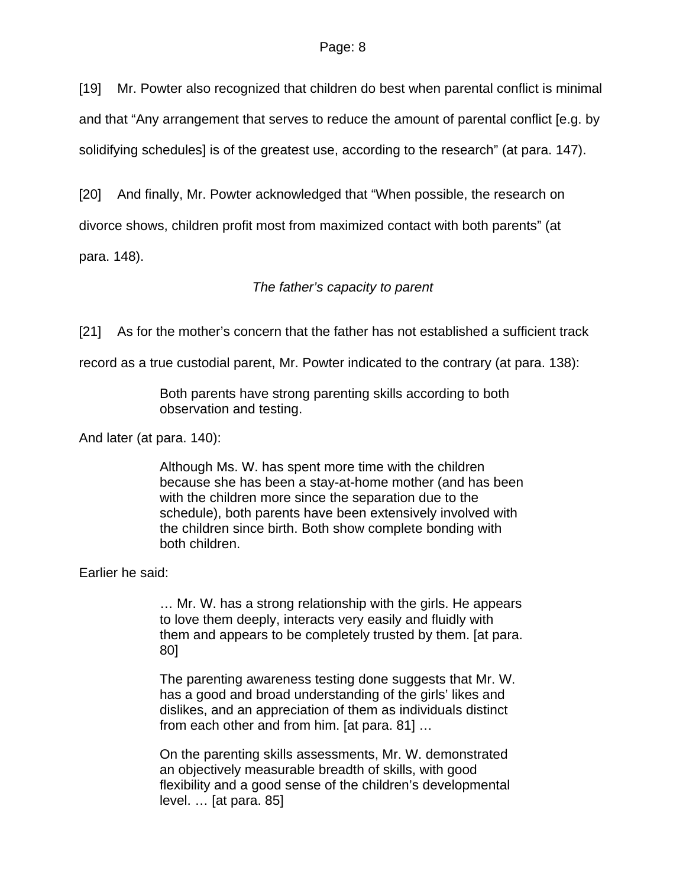[19] Mr. Powter also recognized that children do best when parental conflict is minimal

and that "Any arrangement that serves to reduce the amount of parental conflict [e.g. by

solidifying schedules] is of the greatest use, according to the research" (at para. 147).

[20] And finally, Mr. Powter acknowledged that "When possible, the research on

divorce shows, children profit most from maximized contact with both parents" (at

para. 148).

### *The father's capacity to parent*

[21] As for the mother's concern that the father has not established a sufficient track

record as a true custodial parent, Mr. Powter indicated to the contrary (at para. 138):

Both parents have strong parenting skills according to both observation and testing.

And later (at para. 140):

Although Ms. W. has spent more time with the children because she has been a stay-at-home mother (and has been with the children more since the separation due to the schedule), both parents have been extensively involved with the children since birth. Both show complete bonding with both children.

Earlier he said:

… Mr. W. has a strong relationship with the girls. He appears to love them deeply, interacts very easily and fluidly with them and appears to be completely trusted by them. [at para. 80]

The parenting awareness testing done suggests that Mr. W. has a good and broad understanding of the girls' likes and dislikes, and an appreciation of them as individuals distinct from each other and from him. [at para. 81] …

On the parenting skills assessments, Mr. W. demonstrated an objectively measurable breadth of skills, with good flexibility and a good sense of the children's developmental level. … [at para. 85]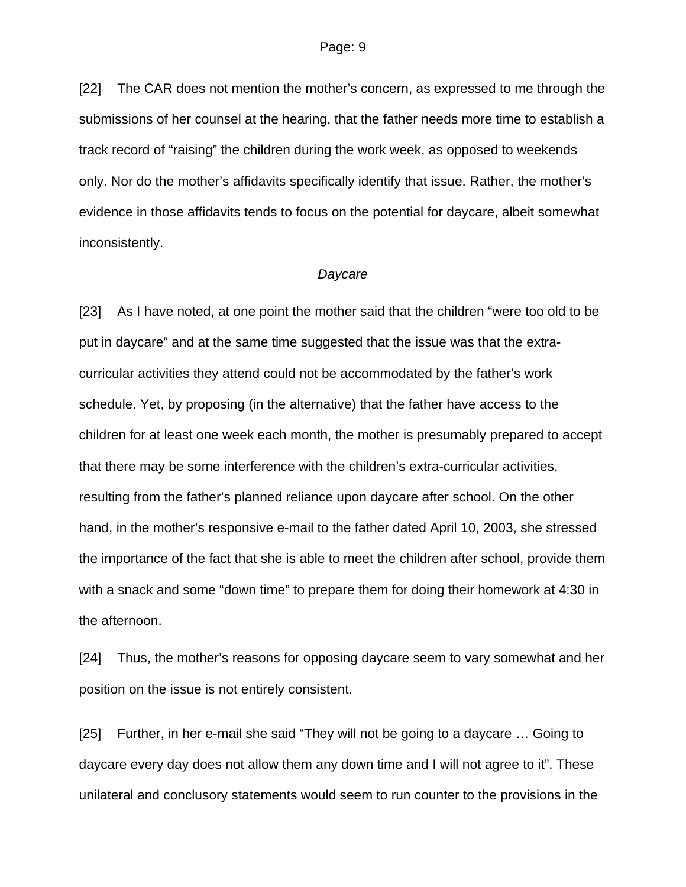[22] The CAR does not mention the mother's concern, as expressed to me through the submissions of her counsel at the hearing, that the father needs more time to establish a track record of "raising" the children during the work week, as opposed to weekends only. Nor do the mother's affidavits specifically identify that issue. Rather, the mother's evidence in those affidavits tends to focus on the potential for daycare, albeit somewhat inconsistently.

#### *Daycare*

[23] As I have noted, at one point the mother said that the children "were too old to be put in daycare" and at the same time suggested that the issue was that the extracurricular activities they attend could not be accommodated by the father's work schedule. Yet, by proposing (in the alternative) that the father have access to the children for at least one week each month, the mother is presumably prepared to accept that there may be some interference with the children's extra-curricular activities, resulting from the father's planned reliance upon daycare after school. On the other hand, in the mother's responsive e-mail to the father dated April 10, 2003, she stressed the importance of the fact that she is able to meet the children after school, provide them with a snack and some "down time" to prepare them for doing their homework at 4:30 in the afternoon.

[24] Thus, the mother's reasons for opposing daycare seem to vary somewhat and her position on the issue is not entirely consistent.

[25] Further, in her e-mail she said "They will not be going to a daycare … Going to daycare every day does not allow them any down time and I will not agree to it". These unilateral and conclusory statements would seem to run counter to the provisions in the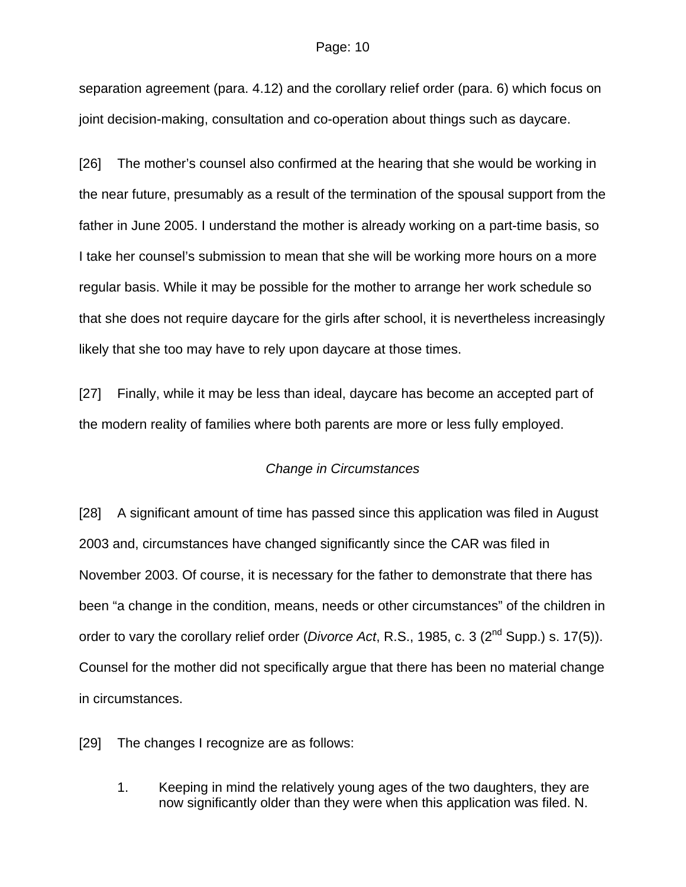#### Page: 10

separation agreement (para. 4.12) and the corollary relief order (para. 6) which focus on joint decision-making, consultation and co-operation about things such as daycare.

[26] The mother's counsel also confirmed at the hearing that she would be working in the near future, presumably as a result of the termination of the spousal support from the father in June 2005. I understand the mother is already working on a part-time basis, so I take her counsel's submission to mean that she will be working more hours on a more regular basis. While it may be possible for the mother to arrange her work schedule so that she does not require daycare for the girls after school, it is nevertheless increasingly likely that she too may have to rely upon daycare at those times.

[27] Finally, while it may be less than ideal, daycare has become an accepted part of the modern reality of families where both parents are more or less fully employed.

#### *Change in Circumstances*

[28] A significant amount of time has passed since this application was filed in August 2003 and, circumstances have changed significantly since the CAR was filed in November 2003. Of course, it is necessary for the father to demonstrate that there has been "a change in the condition, means, needs or other circumstances" of the children in order to vary the corollary relief order (*Divorce Act*, R.S., 1985, c. 3 (2nd Supp.) s. 17(5)). Counsel for the mother did not specifically argue that there has been no material change in circumstances.

[29] The changes I recognize are as follows:

1. Keeping in mind the relatively young ages of the two daughters, they are now significantly older than they were when this application was filed. N.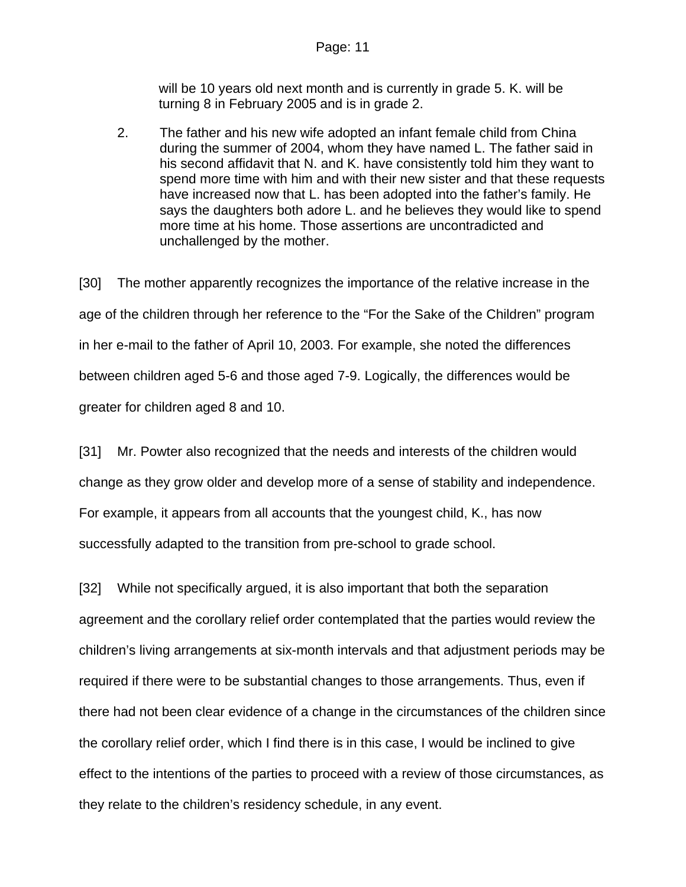will be 10 years old next month and is currently in grade 5. K. will be turning 8 in February 2005 and is in grade 2.

2. The father and his new wife adopted an infant female child from China during the summer of 2004, whom they have named L. The father said in his second affidavit that N. and K. have consistently told him they want to spend more time with him and with their new sister and that these requests have increased now that L. has been adopted into the father's family. He says the daughters both adore L. and he believes they would like to spend more time at his home. Those assertions are uncontradicted and unchallenged by the mother.

[30] The mother apparently recognizes the importance of the relative increase in the age of the children through her reference to the "For the Sake of the Children" program in her e-mail to the father of April 10, 2003. For example, she noted the differences between children aged 5-6 and those aged 7-9. Logically, the differences would be greater for children aged 8 and 10.

[31] Mr. Powter also recognized that the needs and interests of the children would change as they grow older and develop more of a sense of stability and independence. For example, it appears from all accounts that the youngest child, K., has now successfully adapted to the transition from pre-school to grade school.

[32] While not specifically argued, it is also important that both the separation agreement and the corollary relief order contemplated that the parties would review the children's living arrangements at six-month intervals and that adjustment periods may be required if there were to be substantial changes to those arrangements. Thus, even if there had not been clear evidence of a change in the circumstances of the children since the corollary relief order, which I find there is in this case, I would be inclined to give effect to the intentions of the parties to proceed with a review of those circumstances, as they relate to the children's residency schedule, in any event.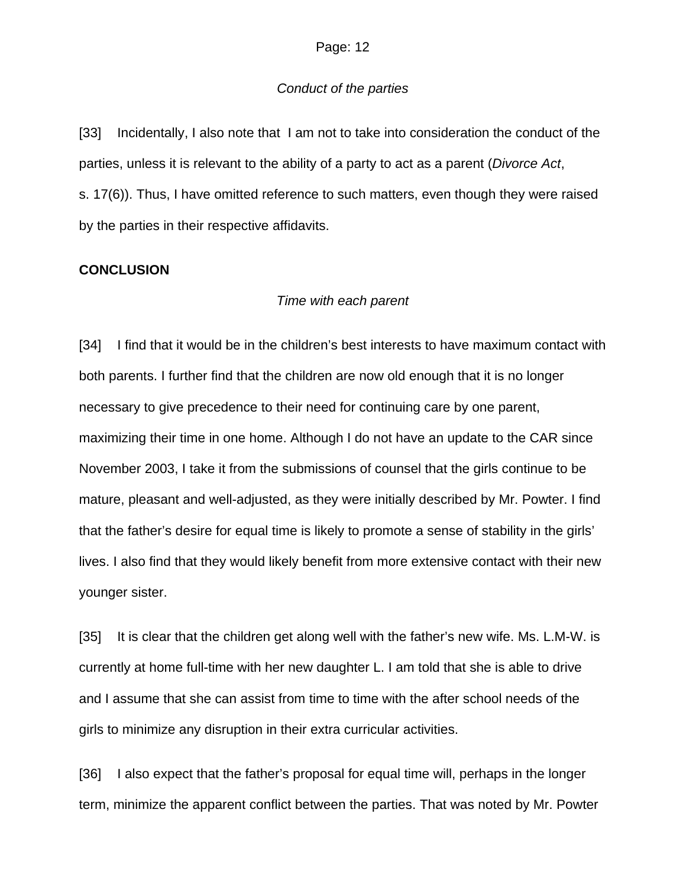#### *Conduct of the parties*

[33] Incidentally, I also note that I am not to take into consideration the conduct of the parties, unless it is relevant to the ability of a party to act as a parent (*Divorce Act*, s. 17(6)). Thus, I have omitted reference to such matters, even though they were raised by the parties in their respective affidavits.

#### **CONCLUSION**

#### *Time with each parent*

[34] I find that it would be in the children's best interests to have maximum contact with both parents. I further find that the children are now old enough that it is no longer necessary to give precedence to their need for continuing care by one parent, maximizing their time in one home. Although I do not have an update to the CAR since November 2003, I take it from the submissions of counsel that the girls continue to be mature, pleasant and well-adjusted, as they were initially described by Mr. Powter. I find that the father's desire for equal time is likely to promote a sense of stability in the girls' lives. I also find that they would likely benefit from more extensive contact with their new younger sister.

[35] It is clear that the children get along well with the father's new wife. Ms. L.M-W. is currently at home full-time with her new daughter L. I am told that she is able to drive and I assume that she can assist from time to time with the after school needs of the girls to minimize any disruption in their extra curricular activities.

[36] I also expect that the father's proposal for equal time will, perhaps in the longer term, minimize the apparent conflict between the parties. That was noted by Mr. Powter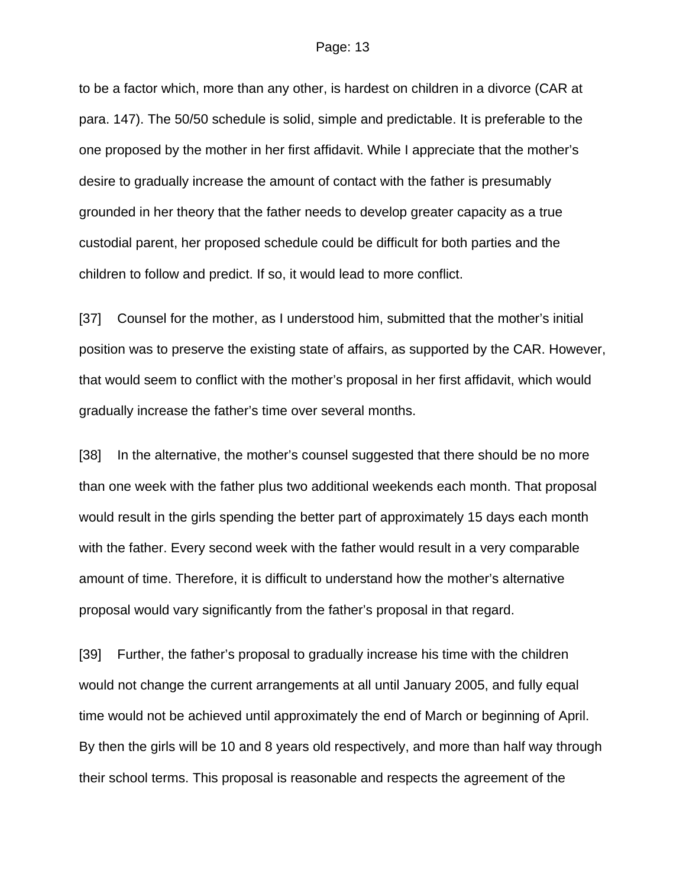to be a factor which, more than any other, is hardest on children in a divorce (CAR at para. 147). The 50/50 schedule is solid, simple and predictable. It is preferable to the one proposed by the mother in her first affidavit. While I appreciate that the mother's desire to gradually increase the amount of contact with the father is presumably grounded in her theory that the father needs to develop greater capacity as a true custodial parent, her proposed schedule could be difficult for both parties and the children to follow and predict. If so, it would lead to more conflict.

[37] Counsel for the mother, as I understood him, submitted that the mother's initial position was to preserve the existing state of affairs, as supported by the CAR. However, that would seem to conflict with the mother's proposal in her first affidavit, which would gradually increase the father's time over several months.

[38] In the alternative, the mother's counsel suggested that there should be no more than one week with the father plus two additional weekends each month. That proposal would result in the girls spending the better part of approximately 15 days each month with the father. Every second week with the father would result in a very comparable amount of time. Therefore, it is difficult to understand how the mother's alternative proposal would vary significantly from the father's proposal in that regard.

[39] Further, the father's proposal to gradually increase his time with the children would not change the current arrangements at all until January 2005, and fully equal time would not be achieved until approximately the end of March or beginning of April. By then the girls will be 10 and 8 years old respectively, and more than half way through their school terms. This proposal is reasonable and respects the agreement of the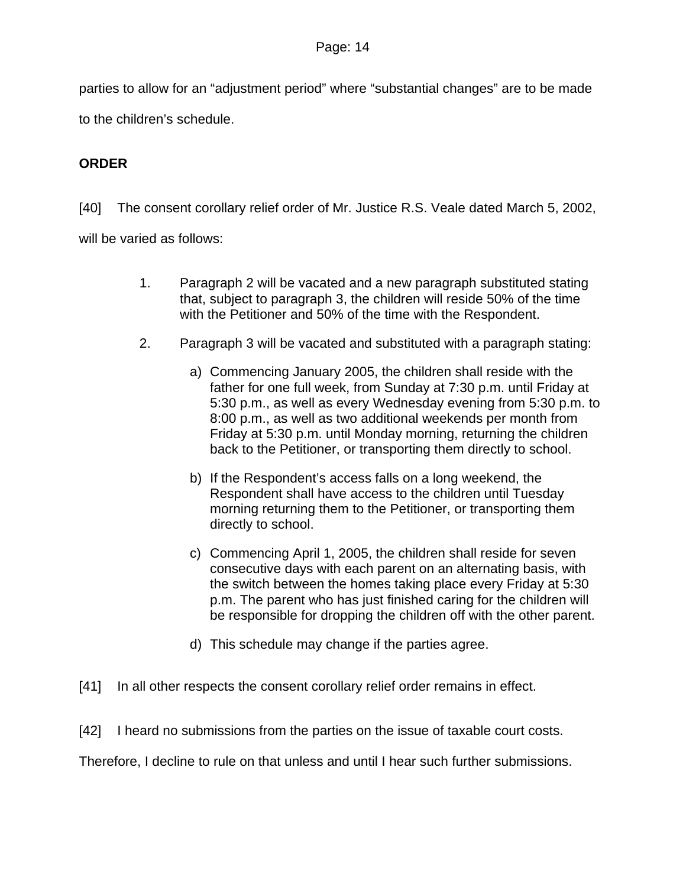parties to allow for an "adjustment period" where "substantial changes" are to be made

to the children's schedule.

## **ORDER**

[40] The consent corollary relief order of Mr. Justice R.S. Veale dated March 5, 2002,

will be varied as follows:

- 1. Paragraph 2 will be vacated and a new paragraph substituted stating that, subject to paragraph 3, the children will reside 50% of the time with the Petitioner and 50% of the time with the Respondent.
- 2. Paragraph 3 will be vacated and substituted with a paragraph stating:
	- a) Commencing January 2005, the children shall reside with the father for one full week, from Sunday at 7:30 p.m. until Friday at 5:30 p.m., as well as every Wednesday evening from 5:30 p.m. to 8:00 p.m., as well as two additional weekends per month from Friday at 5:30 p.m. until Monday morning, returning the children back to the Petitioner, or transporting them directly to school.
	- b) If the Respondent's access falls on a long weekend, the Respondent shall have access to the children until Tuesday morning returning them to the Petitioner, or transporting them directly to school.
	- c) Commencing April 1, 2005, the children shall reside for seven consecutive days with each parent on an alternating basis, with the switch between the homes taking place every Friday at 5:30 p.m. The parent who has just finished caring for the children will be responsible for dropping the children off with the other parent.
	- d) This schedule may change if the parties agree.
- [41] In all other respects the consent corollary relief order remains in effect.
- [42] I heard no submissions from the parties on the issue of taxable court costs.

Therefore, I decline to rule on that unless and until I hear such further submissions.